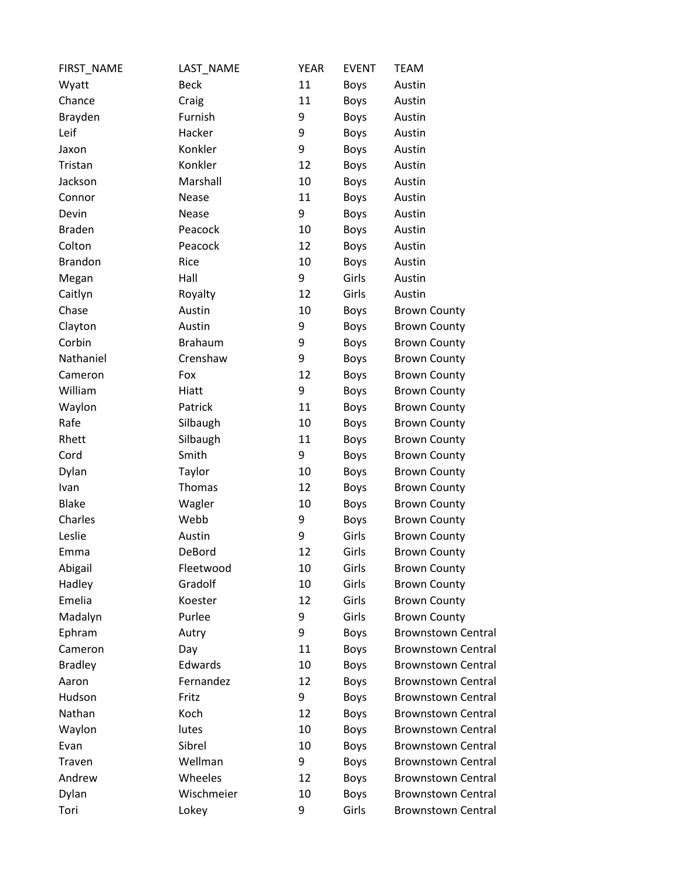| FIRST_NAME     | LAST_NAME      | <b>YEAR</b> | <b>EVENT</b> | <b>TEAM</b>               |
|----------------|----------------|-------------|--------------|---------------------------|
| Wyatt          | <b>Beck</b>    | 11          | <b>Boys</b>  | Austin                    |
| Chance         | Craig          | 11          | <b>Boys</b>  | Austin                    |
| Brayden        | Furnish        | 9           | <b>Boys</b>  | Austin                    |
| Leif           | Hacker         | 9           | <b>Boys</b>  | Austin                    |
| Jaxon          | Konkler        | 9           | <b>Boys</b>  | Austin                    |
| Tristan        | Konkler        | 12          | <b>Boys</b>  | Austin                    |
| Jackson        | Marshall       | 10          | <b>Boys</b>  | Austin                    |
| Connor         | Nease          | 11          | <b>Boys</b>  | Austin                    |
| Devin          | Nease          | 9           | <b>Boys</b>  | Austin                    |
| <b>Braden</b>  | Peacock        | 10          | <b>Boys</b>  | Austin                    |
| Colton         | Peacock        | 12          | <b>Boys</b>  | Austin                    |
| <b>Brandon</b> | Rice           | 10          | <b>Boys</b>  | Austin                    |
| Megan          | Hall           | 9           | Girls        | Austin                    |
| Caitlyn        | Royalty        | 12          | Girls        | Austin                    |
| Chase          | Austin         | 10          | <b>Boys</b>  | <b>Brown County</b>       |
| Clayton        | Austin         | 9           | <b>Boys</b>  | <b>Brown County</b>       |
| Corbin         | <b>Brahaum</b> | 9           | <b>Boys</b>  | <b>Brown County</b>       |
| Nathaniel      | Crenshaw       | 9           | <b>Boys</b>  | <b>Brown County</b>       |
| Cameron        | Fox            | 12          | <b>Boys</b>  | <b>Brown County</b>       |
| William        | Hiatt          | 9           | <b>Boys</b>  | <b>Brown County</b>       |
| Waylon         | Patrick        | 11          | <b>Boys</b>  | <b>Brown County</b>       |
| Rafe           | Silbaugh       | 10          | <b>Boys</b>  | <b>Brown County</b>       |
| Rhett          | Silbaugh       | 11          | <b>Boys</b>  | <b>Brown County</b>       |
| Cord           | Smith          | 9           | <b>Boys</b>  | <b>Brown County</b>       |
| Dylan          | Taylor         | 10          | <b>Boys</b>  | <b>Brown County</b>       |
| Ivan           | Thomas         | 12          | <b>Boys</b>  | <b>Brown County</b>       |
| <b>Blake</b>   | Wagler         | 10          | <b>Boys</b>  | <b>Brown County</b>       |
| Charles        | Webb           | 9           | <b>Boys</b>  | <b>Brown County</b>       |
| Leslie         | Austin         | 9           | Girls        | <b>Brown County</b>       |
| Emma           | DeBord         | 12          | Girls        | <b>Brown County</b>       |
| Abigail        | Fleetwood      | 10          | Girls        | <b>Brown County</b>       |
| Hadley         | Gradolf        | 10          | Girls        | <b>Brown County</b>       |
| Emelia         | Koester        | 12          | Girls        | <b>Brown County</b>       |
| Madalyn        | Purlee         | 9           | Girls        | <b>Brown County</b>       |
| Ephram         | Autry          | 9           | <b>Boys</b>  | <b>Brownstown Central</b> |
| Cameron        | Day            | 11          | <b>Boys</b>  | <b>Brownstown Central</b> |
| <b>Bradley</b> | Edwards        | 10          | <b>Boys</b>  | <b>Brownstown Central</b> |
| Aaron          | Fernandez      | 12          | <b>Boys</b>  | <b>Brownstown Central</b> |
| Hudson         | Fritz          | 9           | <b>Boys</b>  | <b>Brownstown Central</b> |
| Nathan         | Koch           | 12          | <b>Boys</b>  | <b>Brownstown Central</b> |
| Waylon         | lutes          | 10          | <b>Boys</b>  | <b>Brownstown Central</b> |
| Evan           | Sibrel         | 10          | <b>Boys</b>  | <b>Brownstown Central</b> |
| Traven         | Wellman        | 9           | <b>Boys</b>  | <b>Brownstown Central</b> |
| Andrew         | Wheeles        | 12          | <b>Boys</b>  | <b>Brownstown Central</b> |
| Dylan          | Wischmeier     | 10          | <b>Boys</b>  | <b>Brownstown Central</b> |
| Tori           | Lokey          | 9           | Girls        | <b>Brownstown Central</b> |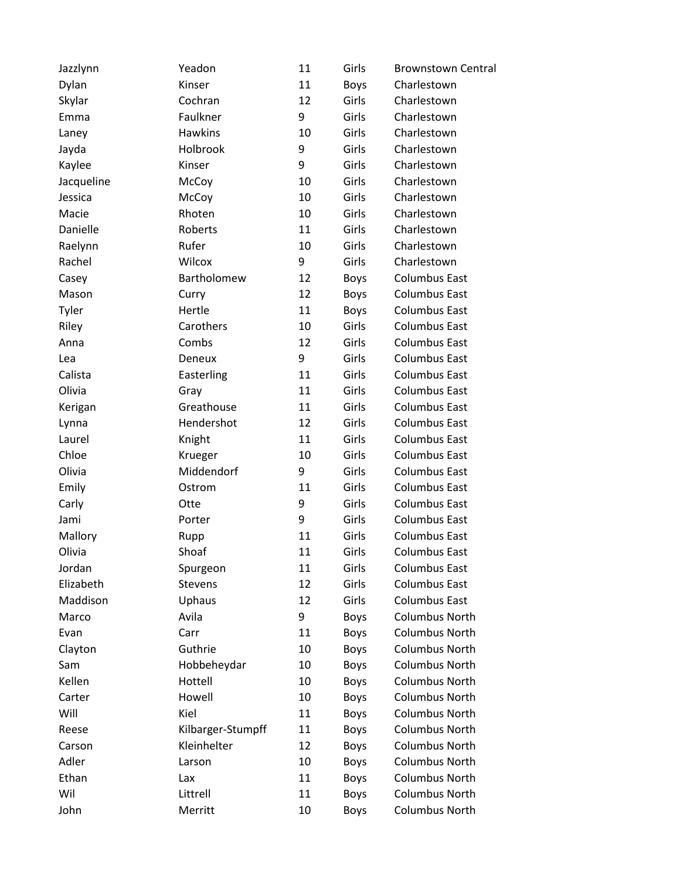| Jazzlynn   | Yeadon            | 11 | Girls       | <b>Brownstown Central</b> |
|------------|-------------------|----|-------------|---------------------------|
| Dylan      | Kinser            | 11 | <b>Boys</b> | Charlestown               |
| Skylar     | Cochran           | 12 | Girls       | Charlestown               |
| Emma       | Faulkner          | 9  | Girls       | Charlestown               |
| Laney      | <b>Hawkins</b>    | 10 | Girls       | Charlestown               |
| Jayda      | Holbrook          | 9  | Girls       | Charlestown               |
| Kaylee     | Kinser            | 9  | Girls       | Charlestown               |
| Jacqueline | McCoy             | 10 | Girls       | Charlestown               |
| Jessica    | McCoy             | 10 | Girls       | Charlestown               |
| Macie      | Rhoten            | 10 | Girls       | Charlestown               |
| Danielle   | Roberts           | 11 | Girls       | Charlestown               |
| Raelynn    | Rufer             | 10 | Girls       | Charlestown               |
| Rachel     | Wilcox            | 9  | Girls       | Charlestown               |
| Casey      | Bartholomew       | 12 | <b>Boys</b> | <b>Columbus East</b>      |
| Mason      | Curry             | 12 | Boys        | <b>Columbus East</b>      |
| Tyler      | Hertle            | 11 | <b>Boys</b> | <b>Columbus East</b>      |
| Riley      | Carothers         | 10 | Girls       | <b>Columbus East</b>      |
| Anna       | Combs             | 12 | Girls       | <b>Columbus East</b>      |
| Lea        | Deneux            | 9  | Girls       | <b>Columbus East</b>      |
| Calista    | Easterling        | 11 | Girls       | <b>Columbus East</b>      |
| Olivia     | Gray              | 11 | Girls       | <b>Columbus East</b>      |
| Kerigan    | Greathouse        | 11 | Girls       | <b>Columbus East</b>      |
| Lynna      | Hendershot        | 12 | Girls       | <b>Columbus East</b>      |
| Laurel     | Knight            | 11 | Girls       | <b>Columbus East</b>      |
| Chloe      | Krueger           | 10 | Girls       | <b>Columbus East</b>      |
| Olivia     | Middendorf        | 9  | Girls       | <b>Columbus East</b>      |
| Emily      | Ostrom            | 11 | Girls       | <b>Columbus East</b>      |
| Carly      | Otte              | 9  | Girls       | <b>Columbus East</b>      |
| Jami       | Porter            | 9  | Girls       | <b>Columbus East</b>      |
| Mallory    | Rupp              | 11 | Girls       | <b>Columbus East</b>      |
| Olivia     | Shoaf             | 11 | Girls       | <b>Columbus East</b>      |
| Jordan     | Spurgeon          | 11 | Girls       | <b>Columbus East</b>      |
| Elizabeth  | Stevens           | 12 | Girls       | <b>Columbus East</b>      |
| Maddison   | Uphaus            | 12 | Girls       | <b>Columbus East</b>      |
| Marco      | Avila             | 9  | Boys        | <b>Columbus North</b>     |
| Evan       | Carr              | 11 | Boys        | <b>Columbus North</b>     |
| Clayton    | Guthrie           | 10 | Boys        | <b>Columbus North</b>     |
| Sam        | Hobbeheydar       | 10 | Boys        | <b>Columbus North</b>     |
| Kellen     | Hottell           | 10 | Boys        | <b>Columbus North</b>     |
| Carter     | Howell            | 10 | Boys        | <b>Columbus North</b>     |
| Will       | Kiel              | 11 | <b>Boys</b> | <b>Columbus North</b>     |
| Reese      | Kilbarger-Stumpff | 11 | <b>Boys</b> | <b>Columbus North</b>     |
| Carson     | Kleinhelter       | 12 | Boys        | <b>Columbus North</b>     |
| Adler      | Larson            | 10 | Boys        | <b>Columbus North</b>     |
| Ethan      | Lax               | 11 | <b>Boys</b> | <b>Columbus North</b>     |
| Wil        | Littrell          | 11 | Boys        | <b>Columbus North</b>     |
| John       | Merritt           | 10 | <b>Boys</b> | Columbus North            |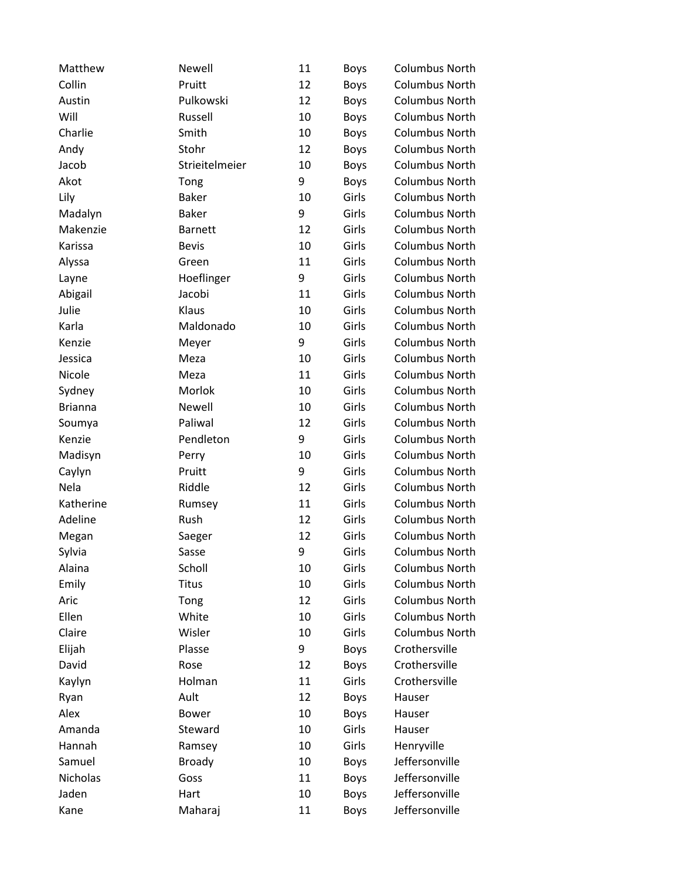| Matthew        | Newell         | 11 | <b>Boys</b> | Columbus North        |
|----------------|----------------|----|-------------|-----------------------|
| Collin         | Pruitt         | 12 | <b>Boys</b> | Columbus North        |
| Austin         | Pulkowski      | 12 | <b>Boys</b> | Columbus North        |
| Will           | Russell        | 10 | <b>Boys</b> | Columbus North        |
| Charlie        | Smith          | 10 | <b>Boys</b> | <b>Columbus North</b> |
| Andy           | Stohr          | 12 | <b>Boys</b> | <b>Columbus North</b> |
| Jacob          | Strieitelmeier | 10 | <b>Boys</b> | <b>Columbus North</b> |
| Akot           | Tong           | 9  | <b>Boys</b> | <b>Columbus North</b> |
| Lily           | <b>Baker</b>   | 10 | Girls       | <b>Columbus North</b> |
| Madalyn        | <b>Baker</b>   | 9  | Girls       | <b>Columbus North</b> |
| Makenzie       | <b>Barnett</b> | 12 | Girls       | <b>Columbus North</b> |
| Karissa        | <b>Bevis</b>   | 10 | Girls       | <b>Columbus North</b> |
| Alyssa         | Green          | 11 | Girls       | <b>Columbus North</b> |
| Layne          | Hoeflinger     | 9  | Girls       | <b>Columbus North</b> |
| Abigail        | Jacobi         | 11 | Girls       | Columbus North        |
| Julie          | Klaus          | 10 | Girls       | <b>Columbus North</b> |
| Karla          | Maldonado      | 10 | Girls       | <b>Columbus North</b> |
| Kenzie         | Meyer          | 9  | Girls       | <b>Columbus North</b> |
| Jessica        | Meza           | 10 | Girls       | <b>Columbus North</b> |
| Nicole         | Meza           | 11 | Girls       | <b>Columbus North</b> |
| Sydney         | Morlok         | 10 | Girls       | <b>Columbus North</b> |
| <b>Brianna</b> | Newell         | 10 | Girls       | <b>Columbus North</b> |
| Soumya         | Paliwal        | 12 | Girls       | Columbus North        |
| Kenzie         | Pendleton      | 9  | Girls       | <b>Columbus North</b> |
| Madisyn        | Perry          | 10 | Girls       | <b>Columbus North</b> |
| Caylyn         | Pruitt         | 9  | Girls       | <b>Columbus North</b> |
| Nela           | Riddle         | 12 | Girls       | <b>Columbus North</b> |
| Katherine      | Rumsey         | 11 | Girls       | <b>Columbus North</b> |
| Adeline        | Rush           | 12 | Girls       | <b>Columbus North</b> |
| Megan          | Saeger         | 12 | Girls       | <b>Columbus North</b> |
| Sylvia         | Sasse          | 9  | Girls       | Columbus North        |
| Alaina         | Scholl         | 10 | Girls       | <b>Columbus North</b> |
| Emily          | <b>Titus</b>   | 10 | Girls       | <b>Columbus North</b> |
| Aric           | Tong           | 12 | Girls       | <b>Columbus North</b> |
| Ellen          | White          | 10 | Girls       | Columbus North        |
| Claire         | Wisler         | 10 | Girls       | Columbus North        |
| Elijah         | Plasse         | 9  | <b>Boys</b> | Crothersville         |
| David          | Rose           | 12 | <b>Boys</b> | Crothersville         |
| Kaylyn         | Holman         | 11 | Girls       | Crothersville         |
| Ryan           | Ault           | 12 | <b>Boys</b> | Hauser                |
| Alex           | <b>Bower</b>   | 10 | <b>Boys</b> | Hauser                |
| Amanda         | Steward        | 10 | Girls       | Hauser                |
| Hannah         | Ramsey         | 10 | Girls       | Henryville            |
| Samuel         | <b>Broady</b>  | 10 | <b>Boys</b> | Jeffersonville        |
| Nicholas       | Goss           | 11 | <b>Boys</b> | Jeffersonville        |
| Jaden          | Hart           | 10 | <b>Boys</b> | Jeffersonville        |
| Kane           | Maharaj        | 11 | <b>Boys</b> | Jeffersonville        |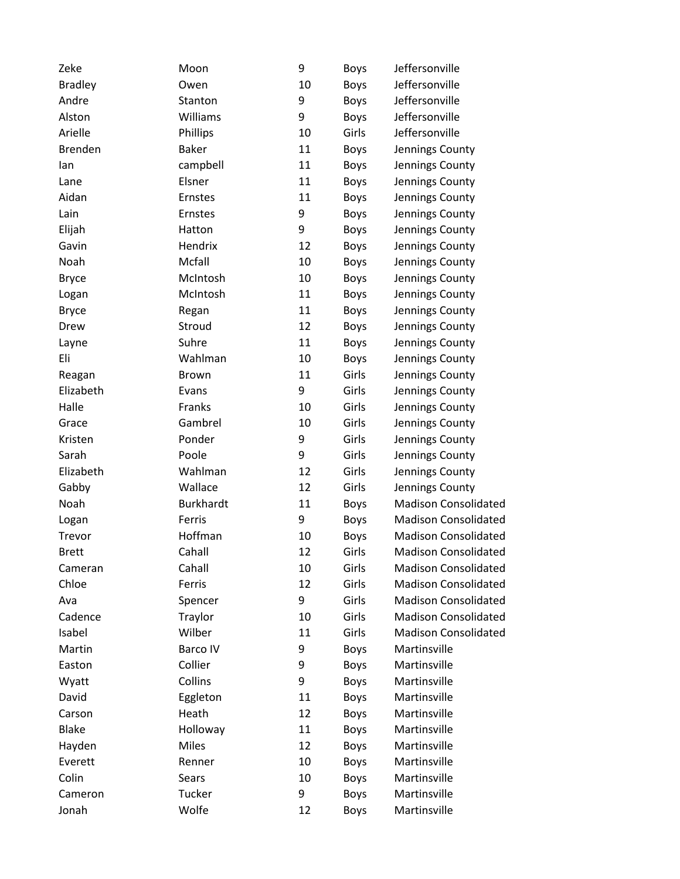| Zeke           | Moon             | 9  | <b>Boys</b> | Jeffersonville              |
|----------------|------------------|----|-------------|-----------------------------|
| <b>Bradley</b> | Owen             | 10 | Boys        | Jeffersonville              |
| Andre          | Stanton          | 9  | Boys        | Jeffersonville              |
| Alston         | Williams         | 9  | Boys        | Jeffersonville              |
| Arielle        | Phillips         | 10 | Girls       | Jeffersonville              |
| <b>Brenden</b> | <b>Baker</b>     | 11 | <b>Boys</b> | Jennings County             |
| lan            | campbell         | 11 | Boys        | Jennings County             |
| Lane           | Elsner           | 11 | <b>Boys</b> | Jennings County             |
| Aidan          | Ernstes          | 11 | <b>Boys</b> | Jennings County             |
| Lain           | Ernstes          | 9  | <b>Boys</b> | Jennings County             |
| Elijah         | Hatton           | 9  | <b>Boys</b> | Jennings County             |
| Gavin          | Hendrix          | 12 | <b>Boys</b> | Jennings County             |
| Noah           | Mcfall           | 10 | <b>Boys</b> | Jennings County             |
| <b>Bryce</b>   | McIntosh         | 10 | <b>Boys</b> | Jennings County             |
| Logan          | McIntosh         | 11 | Boys        | Jennings County             |
| <b>Bryce</b>   | Regan            | 11 | <b>Boys</b> | Jennings County             |
| Drew           | Stroud           | 12 | <b>Boys</b> | Jennings County             |
| Layne          | Suhre            | 11 | <b>Boys</b> | Jennings County             |
| Eli            | Wahlman          | 10 | <b>Boys</b> | Jennings County             |
| Reagan         | <b>Brown</b>     | 11 | Girls       | Jennings County             |
| Elizabeth      | Evans            | 9  | Girls       | Jennings County             |
| Halle          | Franks           | 10 | Girls       | Jennings County             |
| Grace          | Gambrel          | 10 | Girls       | Jennings County             |
| Kristen        | Ponder           | 9  | Girls       | Jennings County             |
| Sarah          | Poole            | 9  | Girls       | Jennings County             |
| Elizabeth      | Wahlman          | 12 | Girls       | Jennings County             |
| Gabby          | Wallace          | 12 | Girls       | Jennings County             |
| Noah           | <b>Burkhardt</b> | 11 | <b>Boys</b> | <b>Madison Consolidated</b> |
| Logan          | Ferris           | 9  | <b>Boys</b> | <b>Madison Consolidated</b> |
| Trevor         | Hoffman          | 10 | <b>Boys</b> | <b>Madison Consolidated</b> |
| <b>Brett</b>   | Cahall           | 12 | Girls       | <b>Madison Consolidated</b> |
| Cameran        | Cahall           | 10 | Girls       | <b>Madison Consolidated</b> |
| Chloe          | Ferris           | 12 | Girls       | <b>Madison Consolidated</b> |
| Ava            | Spencer          | 9  | Girls       | <b>Madison Consolidated</b> |
| Cadence        | Traylor          | 10 | Girls       | <b>Madison Consolidated</b> |
| Isabel         | Wilber           | 11 | Girls       | <b>Madison Consolidated</b> |
| Martin         | Barco IV         | 9  | <b>Boys</b> | Martinsville                |
| Easton         | Collier          | 9  | <b>Boys</b> | Martinsville                |
| Wyatt          | Collins          | 9  | <b>Boys</b> | Martinsville                |
| David          | Eggleton         | 11 | <b>Boys</b> | Martinsville                |
| Carson         | Heath            | 12 | <b>Boys</b> | Martinsville                |
| <b>Blake</b>   | Holloway         | 11 | <b>Boys</b> | Martinsville                |
| Hayden         | <b>Miles</b>     | 12 | <b>Boys</b> | Martinsville                |
| Everett        | Renner           | 10 | <b>Boys</b> | Martinsville                |
| Colin          | <b>Sears</b>     | 10 | <b>Boys</b> | Martinsville                |
| Cameron        | Tucker           | 9  | <b>Boys</b> | Martinsville                |
| Jonah          | Wolfe            | 12 | Boys        | Martinsville                |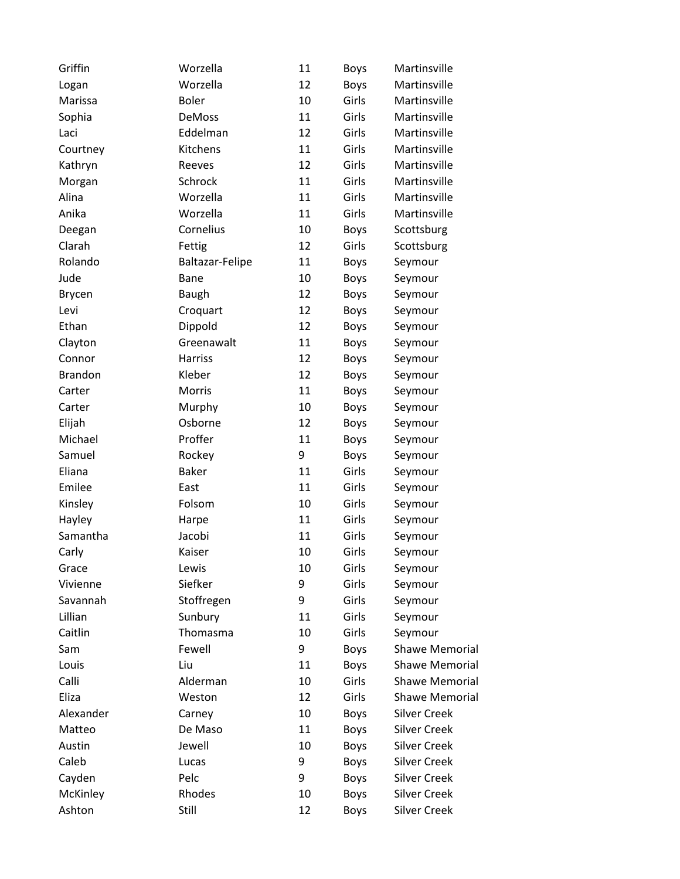| Griffin        | Worzella               | 11 | <b>Boys</b> | Martinsville          |
|----------------|------------------------|----|-------------|-----------------------|
| Logan          | Worzella               | 12 | <b>Boys</b> | Martinsville          |
| Marissa        | <b>Boler</b>           | 10 | Girls       | Martinsville          |
| Sophia         | <b>DeMoss</b>          | 11 | Girls       | Martinsville          |
| Laci           | Eddelman               | 12 | Girls       | Martinsville          |
| Courtney       | Kitchens               | 11 | Girls       | Martinsville          |
| Kathryn        | Reeves                 | 12 | Girls       | Martinsville          |
| Morgan         | Schrock                | 11 | Girls       | Martinsville          |
| Alina          | Worzella               | 11 | Girls       | Martinsville          |
| Anika          | Worzella               | 11 | Girls       | Martinsville          |
| Deegan         | Cornelius              | 10 | <b>Boys</b> | Scottsburg            |
| Clarah         | Fettig                 | 12 | Girls       | Scottsburg            |
| Rolando        | <b>Baltazar-Felipe</b> | 11 | <b>Boys</b> | Seymour               |
| Jude           | Bane                   | 10 | Boys        | Seymour               |
| Brycen         | Baugh                  | 12 | <b>Boys</b> | Seymour               |
| Levi           | Croquart               | 12 | <b>Boys</b> | Seymour               |
| Ethan          | Dippold                | 12 | Boys        | Seymour               |
| Clayton        | Greenawalt             | 11 | <b>Boys</b> | Seymour               |
| Connor         | <b>Harriss</b>         | 12 | <b>Boys</b> | Seymour               |
| <b>Brandon</b> | Kleber                 | 12 | <b>Boys</b> | Seymour               |
| Carter         | Morris                 | 11 | <b>Boys</b> | Seymour               |
| Carter         | Murphy                 | 10 | <b>Boys</b> | Seymour               |
| Elijah         | Osborne                | 12 | <b>Boys</b> | Seymour               |
| Michael        | Proffer                | 11 | <b>Boys</b> | Seymour               |
| Samuel         | Rockey                 | 9  | <b>Boys</b> | Seymour               |
| Eliana         | <b>Baker</b>           | 11 | Girls       | Seymour               |
| Emilee         | East                   | 11 | Girls       | Seymour               |
| Kinsley        | Folsom                 | 10 | Girls       | Seymour               |
| Hayley         | Harpe                  | 11 | Girls       | Seymour               |
| Samantha       | Jacobi                 | 11 | Girls       | Seymour               |
| Carly          | Kaiser                 | 10 | Girls       | Seymour               |
| Grace          | Lewis                  | 10 | Girls       | Seymour               |
| Vivienne       | Siefker                | 9  | Girls       | Seymour               |
| Savannah       | Stoffregen             | 9  | Girls       | Seymour               |
| Lillian        | Sunbury                | 11 | Girls       | Seymour               |
| Caitlin        | Thomasma               | 10 | Girls       | Seymour               |
| Sam            | Fewell                 | 9  | <b>Boys</b> | <b>Shawe Memorial</b> |
| Louis          | Liu                    | 11 | <b>Boys</b> | <b>Shawe Memorial</b> |
| Calli          | Alderman               | 10 | Girls       | <b>Shawe Memorial</b> |
| Eliza          | Weston                 | 12 | Girls       | <b>Shawe Memorial</b> |
| Alexander      | Carney                 | 10 | <b>Boys</b> | <b>Silver Creek</b>   |
| Matteo         | De Maso                | 11 | <b>Boys</b> | <b>Silver Creek</b>   |
| Austin         | Jewell                 | 10 | <b>Boys</b> | <b>Silver Creek</b>   |
| Caleb          | Lucas                  | 9  | <b>Boys</b> | <b>Silver Creek</b>   |
| Cayden         | Pelc                   | 9  | <b>Boys</b> | <b>Silver Creek</b>   |
| McKinley       | Rhodes                 | 10 | <b>Boys</b> | <b>Silver Creek</b>   |
| Ashton         | Still                  | 12 | <b>Boys</b> | <b>Silver Creek</b>   |